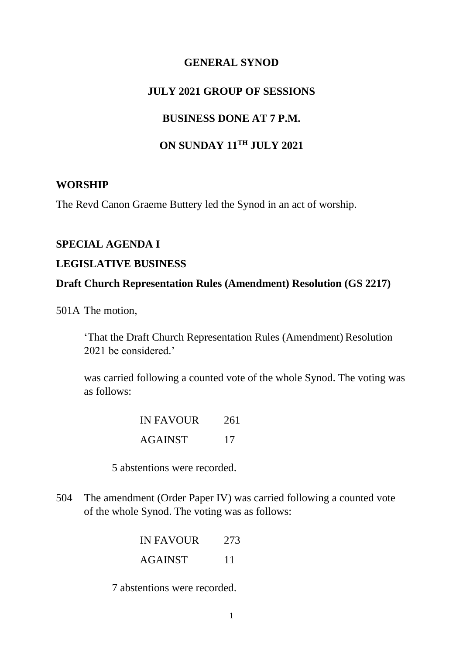## **GENERAL SYNOD**

### **JULY 2021 GROUP OF SESSIONS**

### **BUSINESS DONE AT 7 P.M.**

# **ON SUNDAY 11TH JULY 2021**

#### **WORSHIP**

The Revd Canon Graeme Buttery led the Synod in an act of worship.

## **SPECIAL AGENDA I**

### **LEGISLATIVE BUSINESS**

#### **Draft Church Representation Rules (Amendment) Resolution (GS 2217)**

501A The motion,

'That the Draft Church Representation Rules (Amendment) Resolution 2021 be considered.'

was carried following a counted vote of the whole Synod. The voting was as follows:

| <b>IN FAVOUR</b> | 261 |
|------------------|-----|
| <b>AGAINST</b>   | 17  |

5 abstentions were recorded.

504 The amendment (Order Paper IV) was carried following a counted vote of the whole Synod. The voting was as follows:

| <b>IN FAVOUR</b> | 273 |
|------------------|-----|
| <b>AGAINST</b>   | 11  |

7 abstentions were recorded.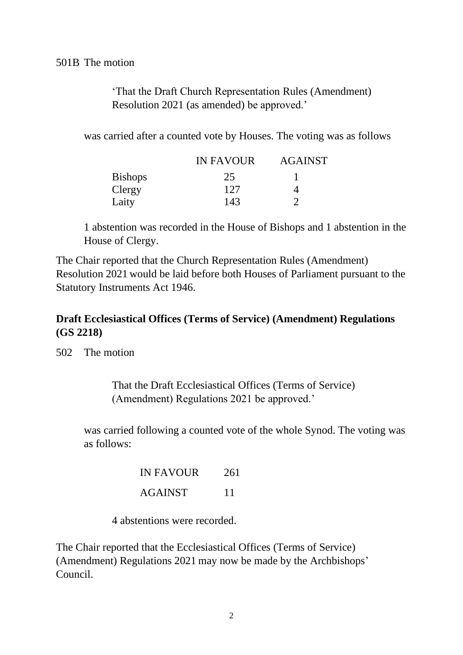501B The motion

'That the Draft Church Representation Rules (Amendment) Resolution 2021 (as amended) be approved.'

was carried after a counted vote by Houses. The voting was as follows

|                | <b>IN FAVOUR</b> | <b>AGAINST</b> |
|----------------|------------------|----------------|
| <b>Bishops</b> | 25               |                |
| Clergy         | 127              |                |
| Laity          | 143              |                |

1 abstention was recorded in the House of Bishops and 1 abstention in the House of Clergy.

The Chair reported that the Church Representation Rules (Amendment) Resolution 2021 would be laid before both Houses of Parliament pursuant to the Statutory Instruments Act 1946.

# **Draft Ecclesiastical Offices (Terms of Service) (Amendment) Regulations (GS 2218)**

502 The motion

That the Draft Ecclesiastical Offices (Terms of Service) (Amendment) Regulations 2021 be approved.'

was carried following a counted vote of the whole Synod. The voting was as follows:

| <b>IN FAVOUR</b> | 261 |
|------------------|-----|
| <b>AGAINST</b>   | 11  |

4 abstentions were recorded.

The Chair reported that the Ecclesiastical Offices (Terms of Service) (Amendment) Regulations 2021 may now be made by the Archbishops' Council.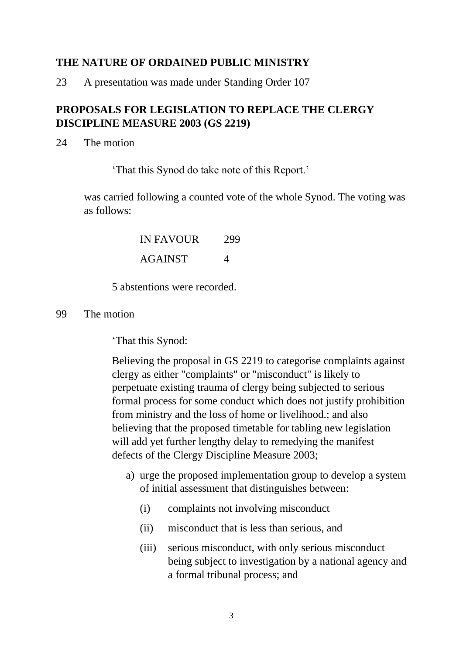# **THE NATURE OF ORDAINED PUBLIC MINISTRY**

23 A presentation was made under Standing Order 107

# **PROPOSALS FOR LEGISLATION TO REPLACE THE CLERGY DISCIPLINE MEASURE 2003 (GS 2219)**

24 The motion

'That this Synod do take note of this Report.'

was carried following a counted vote of the whole Synod. The voting was as follows:

> IN FAVOUR 299 AGAINST 4

5 abstentions were recorded.

99 The motion

'That this Synod:

Believing the proposal in GS 2219 to categorise complaints against clergy as either "complaints" or "misconduct" is likely to perpetuate existing trauma of clergy being subjected to serious formal process for some conduct which does not justify prohibition from ministry and the loss of home or livelihood.; and also believing that the proposed timetable for tabling new legislation will add yet further lengthy delay to remedying the manifest defects of the Clergy Discipline Measure 2003;

- a) urge the proposed implementation group to develop a system of initial assessment that distinguishes between:
	- (i) complaints not involving misconduct
	- (ii) misconduct that is less than serious, and
	- (iii) serious misconduct, with only serious misconduct being subject to investigation by a national agency and a formal tribunal process; and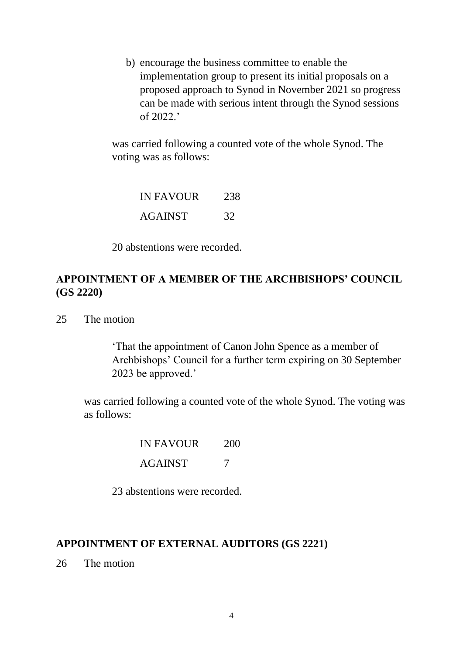b) encourage the business committee to enable the implementation group to present its initial proposals on a proposed approach to Synod in November 2021 so progress can be made with serious intent through the Synod sessions of 2022.'

was carried following a counted vote of the whole Synod. The voting was as follows:

| <b>IN FAVOUR</b> | 238 |
|------------------|-----|
| <b>AGAINST</b>   | 32  |

20 abstentions were recorded.

# **APPOINTMENT OF A MEMBER OF THE ARCHBISHOPS' COUNCIL (GS 2220)**

25 The motion

'That the appointment of Canon John Spence as a member of Archbishops' Council for a further term expiring on 30 September 2023 be approved.'

was carried following a counted vote of the whole Synod. The voting was as follows:

IN FAVOUR 200

AGAINST 7

23 abstentions were recorded.

#### **APPOINTMENT OF EXTERNAL AUDITORS (GS 2221)**

26 The motion